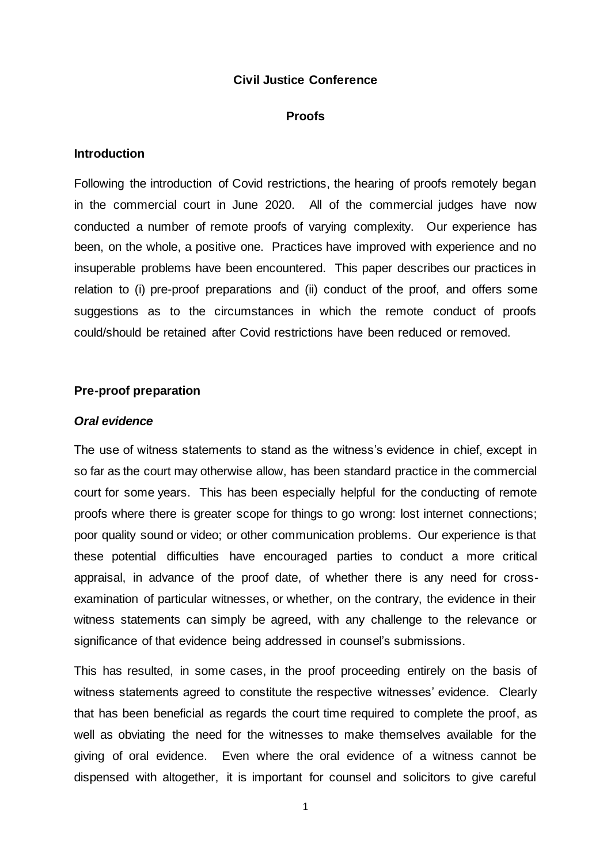### **Civil Justice Conference**

#### **Proofs**

### **Introduction**

Following the introduction of Covid restrictions, the hearing of proofs remotely began in the commercial court in June 2020. All of the commercial judges have now conducted a number of remote proofs of varying complexity. Our experience has been, on the whole, a positive one. Practices have improved with experience and no insuperable problems have been encountered. This paper describes our practices in relation to (i) pre-proof preparations and (ii) conduct of the proof, and offers some suggestions as to the circumstances in which the remote conduct of proofs could/should be retained after Covid restrictions have been reduced or removed.

## **Pre-proof preparation**

# *Oral evidence*

The use of witness statements to stand as the witness's evidence in chief, except in so far as the court may otherwise allow, has been standard practice in the commercial court for some years. This has been especially helpful for the conducting of remote proofs where there is greater scope for things to go wrong: lost internet connections; poor quality sound or video; or other communication problems. Our experience is that these potential difficulties have encouraged parties to conduct a more critical appraisal, in advance of the proof date, of whether there is any need for crossexamination of particular witnesses, or whether, on the contrary, the evidence in their witness statements can simply be agreed, with any challenge to the relevance or significance of that evidence being addressed in counsel's submissions.

This has resulted, in some cases, in the proof proceeding entirely on the basis of witness statements agreed to constitute the respective witnesses' evidence. Clearly that has been beneficial as regards the court time required to complete the proof, as well as obviating the need for the witnesses to make themselves available for the giving of oral evidence. Even where the oral evidence of a witness cannot be dispensed with altogether, it is important for counsel and solicitors to give careful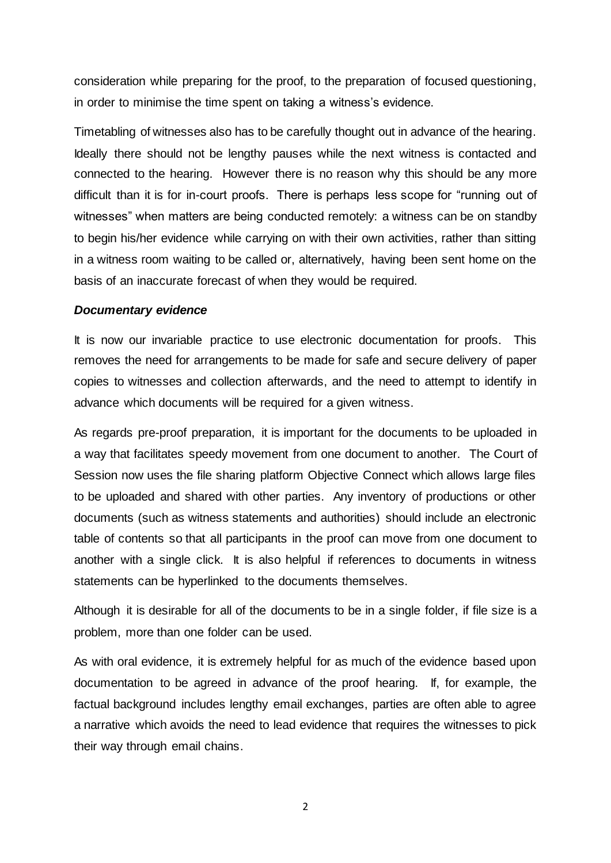consideration while preparing for the proof, to the preparation of focused questioning, in order to minimise the time spent on taking a witness's evidence.

Timetabling of witnesses also has to be carefully thought out in advance of the hearing. Ideally there should not be lengthy pauses while the next witness is contacted and connected to the hearing. However there is no reason why this should be any more difficult than it is for in-court proofs. There is perhaps less scope for "running out of witnesses" when matters are being conducted remotely: a witness can be on standby to begin his/her evidence while carrying on with their own activities, rather than sitting in a witness room waiting to be called or, alternatively, having been sent home on the basis of an inaccurate forecast of when they would be required.

#### *Documentary evidence*

It is now our invariable practice to use electronic documentation for proofs. This removes the need for arrangements to be made for safe and secure delivery of paper copies to witnesses and collection afterwards, and the need to attempt to identify in advance which documents will be required for a given witness.

As regards pre-proof preparation, it is important for the documents to be uploaded in a way that facilitates speedy movement from one document to another. The Court of Session now uses the file sharing platform Objective Connect which allows large files to be uploaded and shared with other parties. Any inventory of productions or other documents (such as witness statements and authorities) should include an electronic table of contents so that all participants in the proof can move from one document to another with a single click. It is also helpful if references to documents in witness statements can be hyperlinked to the documents themselves.

Although it is desirable for all of the documents to be in a single folder, if file size is a problem, more than one folder can be used.

As with oral evidence, it is extremely helpful for as much of the evidence based upon documentation to be agreed in advance of the proof hearing. If, for example, the factual background includes lengthy email exchanges, parties are often able to agree a narrative which avoids the need to lead evidence that requires the witnesses to pick their way through email chains.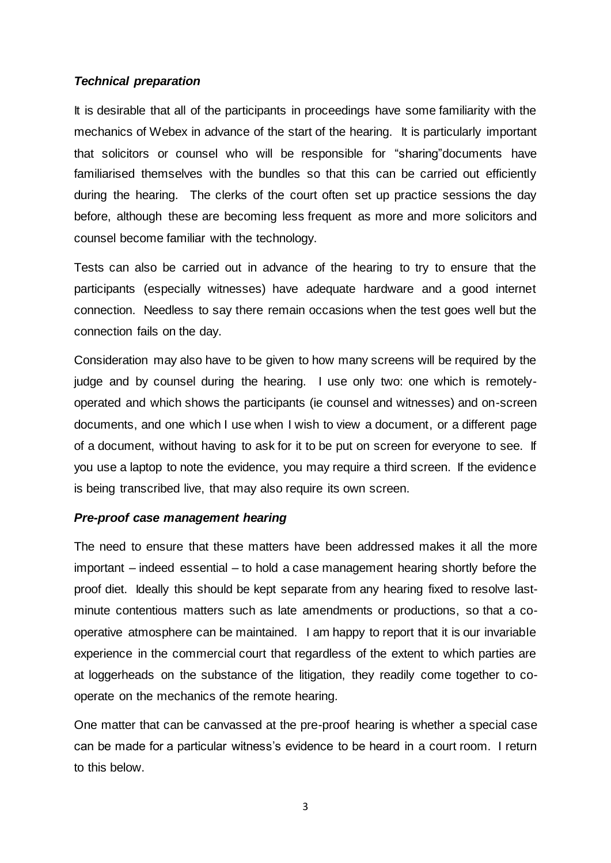# *Technical preparation*

It is desirable that all of the participants in proceedings have some familiarity with the mechanics of Webex in advance of the start of the hearing. It is particularly important that solicitors or counsel who will be responsible for "sharing"documents have familiarised themselves with the bundles so that this can be carried out efficiently during the hearing. The clerks of the court often set up practice sessions the day before, although these are becoming less frequent as more and more solicitors and counsel become familiar with the technology.

Tests can also be carried out in advance of the hearing to try to ensure that the participants (especially witnesses) have adequate hardware and a good internet connection. Needless to say there remain occasions when the test goes well but the connection fails on the day.

Consideration may also have to be given to how many screens will be required by the judge and by counsel during the hearing. I use only two: one which is remotelyoperated and which shows the participants (ie counsel and witnesses) and on-screen documents, and one which I use when I wish to view a document, or a different page of a document, without having to ask for it to be put on screen for everyone to see. If you use a laptop to note the evidence, you may require a third screen. If the evidence is being transcribed live, that may also require its own screen.

# *Pre-proof case management hearing*

The need to ensure that these matters have been addressed makes it all the more important – indeed essential – to hold a case management hearing shortly before the proof diet. Ideally this should be kept separate from any hearing fixed to resolve lastminute contentious matters such as late amendments or productions, so that a cooperative atmosphere can be maintained. I am happy to report that it is our invariable experience in the commercial court that regardless of the extent to which parties are at loggerheads on the substance of the litigation, they readily come together to cooperate on the mechanics of the remote hearing.

One matter that can be canvassed at the pre-proof hearing is whether a special case can be made for a particular witness's evidence to be heard in a court room. I return to this below.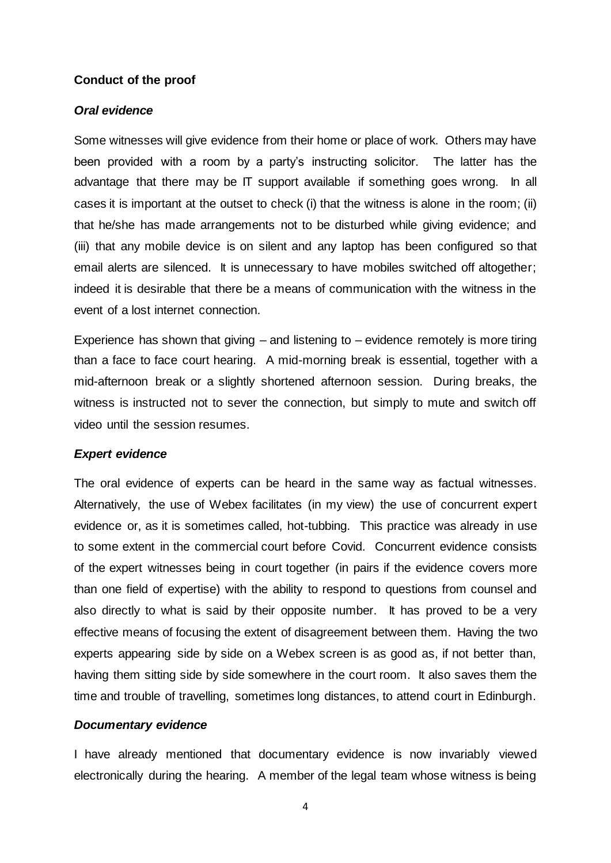## **Conduct of the proof**

# *Oral evidence*

Some witnesses will give evidence from their home or place of work. Others may have been provided with a room by a party's instructing solicitor. The latter has the advantage that there may be IT support available if something goes wrong. In all cases it is important at the outset to check (i) that the witness is alone in the room; (ii) that he/she has made arrangements not to be disturbed while giving evidence; and (iii) that any mobile device is on silent and any laptop has been configured so that email alerts are silenced. It is unnecessary to have mobiles switched off altogether; indeed it is desirable that there be a means of communication with the witness in the event of a lost internet connection.

Experience has shown that giving  $-$  and listening to  $-$  evidence remotely is more tiring than a face to face court hearing. A mid-morning break is essential, together with a mid-afternoon break or a slightly shortened afternoon session. During breaks, the witness is instructed not to sever the connection, but simply to mute and switch off video until the session resumes.

## *Expert evidence*

The oral evidence of experts can be heard in the same way as factual witnesses. Alternatively, the use of Webex facilitates (in my view) the use of concurrent expert evidence or, as it is sometimes called, hot-tubbing. This practice was already in use to some extent in the commercial court before Covid. Concurrent evidence consists of the expert witnesses being in court together (in pairs if the evidence covers more than one field of expertise) with the ability to respond to questions from counsel and also directly to what is said by their opposite number. It has proved to be a very effective means of focusing the extent of disagreement between them. Having the two experts appearing side by side on a Webex screen is as good as, if not better than, having them sitting side by side somewhere in the court room. It also saves them the time and trouble of travelling, sometimes long distances, to attend court in Edinburgh.

# *Documentary evidence*

I have already mentioned that documentary evidence is now invariably viewed electronically during the hearing. A member of the legal team whose witness is being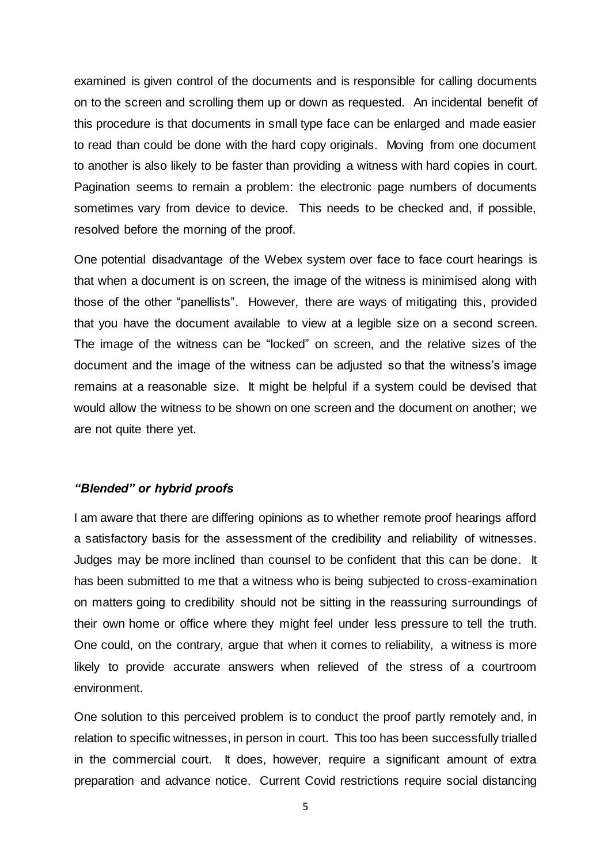examined is given control of the documents and is responsible for calling documents on to the screen and scrolling them up or down as requested. An incidental benefit of this procedure is that documents in small type face can be enlarged and made easier to read than could be done with the hard copy originals. Moving from one document to another is also likely to be faster than providing a witness with hard copies in court. Pagination seems to remain a problem: the electronic page numbers of documents sometimes vary from device to device. This needs to be checked and, if possible, resolved before the morning of the proof.

One potential disadvantage of the Webex system over face to face court hearings is that when a document is on screen, the image of the witness is minimised along with those of the other "panellists". However, there are ways of mitigating this, provided that you have the document available to view at a legible size on a second screen. The image of the witness can be "locked" on screen, and the relative sizes of the document and the image of the witness can be adjusted so that the witness's image remains at a reasonable size. It might be helpful if a system could be devised that would allow the witness to be shown on one screen and the document on another; we are not quite there yet.

## *"Blended" or hybrid proofs*

I am aware that there are differing opinions as to whether remote proof hearings afford a satisfactory basis for the assessment of the credibility and reliability of witnesses. Judges may be more inclined than counsel to be confident that this can be done. It has been submitted to me that a witness who is being subjected to cross-examination on matters going to credibility should not be sitting in the reassuring surroundings of their own home or office where they might feel under less pressure to tell the truth. One could, on the contrary, argue that when it comes to reliability, a witness is more likely to provide accurate answers when relieved of the stress of a courtroom environment.

One solution to this perceived problem is to conduct the proof partly remotely and, in relation to specific witnesses, in person in court. This too has been successfully trialled in the commercial court. It does, however, require a significant amount of extra preparation and advance notice. Current Covid restrictions require social distancing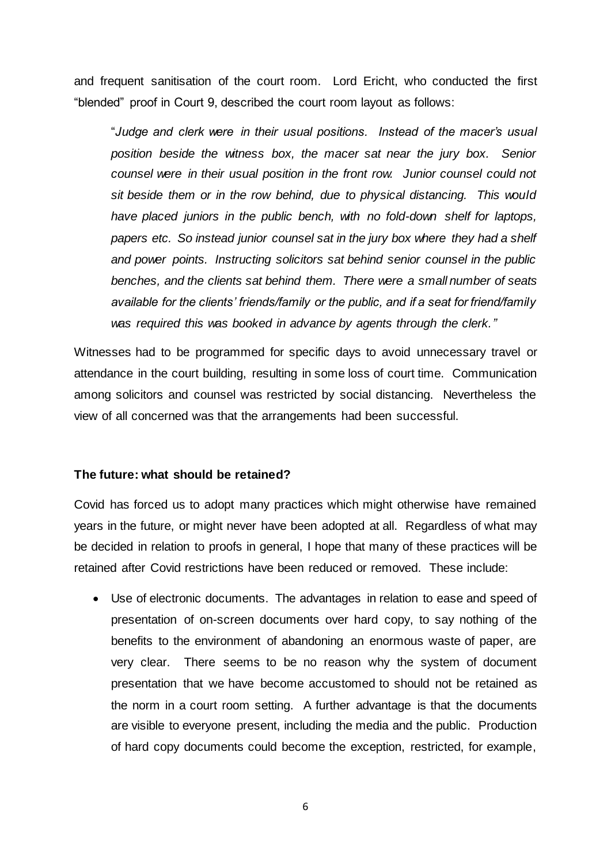and frequent sanitisation of the court room. Lord Ericht, who conducted the first "blended" proof in Court 9, described the court room layout as follows:

"*Judge and clerk were in their usual positions. Instead of the macer's usual position beside the witness box, the macer sat near the jury box. Senior counsel were in their usual position in the front row. Junior counsel could not sit beside them or in the row behind, due to physical distancing. This would have placed juniors in the public bench, with no fold-down shelf for laptops, papers etc. So instead junior counsel sat in the jury box where they had a shelf and power points. Instructing solicitors sat behind senior counsel in the public benches, and the clients sat behind them. There were a small number of seats available for the clients' friends/family or the public, and if a seat for friend/family was required this was booked in advance by agents through the clerk."*

Witnesses had to be programmed for specific days to avoid unnecessary travel or attendance in the court building, resulting in some loss of court time. Communication among solicitors and counsel was restricted by social distancing. Nevertheless the view of all concerned was that the arrangements had been successful.

# **The future: what should be retained?**

Covid has forced us to adopt many practices which might otherwise have remained years in the future, or might never have been adopted at all. Regardless of what may be decided in relation to proofs in general, I hope that many of these practices will be retained after Covid restrictions have been reduced or removed. These include:

 Use of electronic documents. The advantages in relation to ease and speed of presentation of on-screen documents over hard copy, to say nothing of the benefits to the environment of abandoning an enormous waste of paper, are very clear. There seems to be no reason why the system of document presentation that we have become accustomed to should not be retained as the norm in a court room setting. A further advantage is that the documents are visible to everyone present, including the media and the public. Production of hard copy documents could become the exception, restricted, for example,